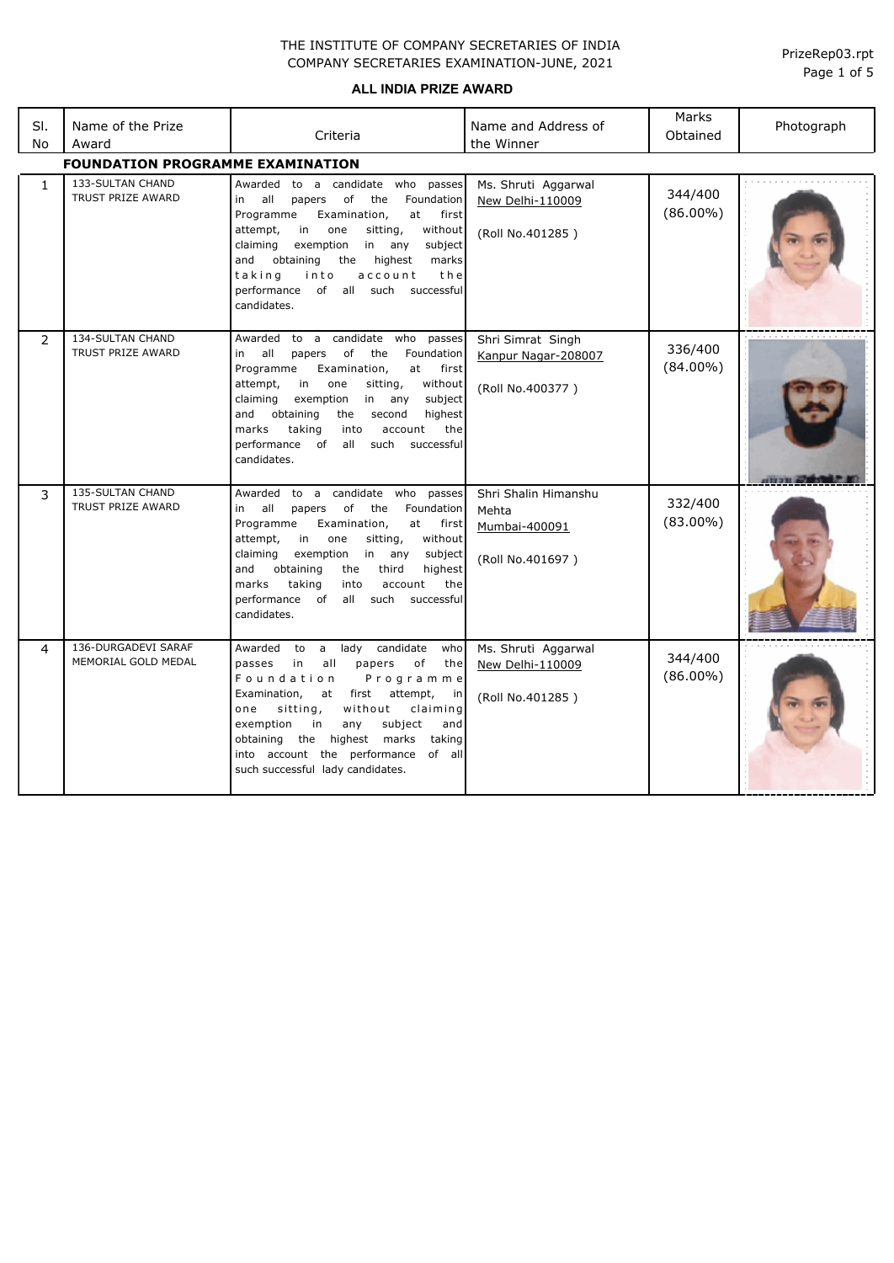#### **ALL INDIA PRIZE AWARD**

| SI.<br>No    | Name of the Prize<br>Award                          | Criteria                                                                                                                                                                                                                                                                                                                                                                                   | Name and Address of<br>the Winner                                  | Marks<br>Obtained      | Photograph |
|--------------|-----------------------------------------------------|--------------------------------------------------------------------------------------------------------------------------------------------------------------------------------------------------------------------------------------------------------------------------------------------------------------------------------------------------------------------------------------------|--------------------------------------------------------------------|------------------------|------------|
|              | <b>FOUNDATION PROGRAMME EXAMINATION</b>             |                                                                                                                                                                                                                                                                                                                                                                                            |                                                                    |                        |            |
| $\mathbf{1}$ | 133-SULTAN CHAND<br><b>TRUST PRIZE AWARD</b>        | Awarded<br>to a candidate who passes<br>of<br>all<br>papers<br>the<br>Foundation<br>in<br>Programme<br>Examination,<br>at<br>first<br>attempt,<br>in<br>one<br>sitting,<br>without<br>exemption<br>in<br>subject<br>claiming<br>any<br>and<br>obtaining<br>the<br>highest<br>marks<br>taking<br>account<br>the<br>into<br>successful<br>performance of all<br>such<br>candidates.          | Ms. Shruti Aggarwal<br>New Delhi-110009<br>(Roll No.401285)        | 344/400<br>$(86.00\%)$ |            |
| 2            | <b>134-SULTAN CHAND</b><br><b>TRUST PRIZE AWARD</b> | Awarded to a candidate who passes<br>all<br>of<br>the<br>Foundation<br>in<br>papers<br>Programme<br>Examination,<br>at<br>first<br>attempt,<br>in<br>sitting,<br>without<br>one<br>subject<br>claiming<br>exemption<br>in any<br>and obtaining<br>highest<br>the<br>second<br>marks<br>taking<br>the<br>into<br>account<br>performance of<br>all<br>such<br>successful<br>candidates.      | Shri Simrat Singh<br>Kanpur Nagar-208007<br>(Roll No.400377)       | 336/400<br>$(84.00\%)$ |            |
| 3            | <b>135-SULTAN CHAND</b><br><b>TRUST PRIZE AWARD</b> | Awarded to a candidate who<br>passes<br>of<br>all<br>the<br>Foundation<br>in<br>papers<br>Programme<br>Examination,<br>at<br>first<br>attempt,<br>in<br>one<br>sitting,<br>without<br>claiming<br>exemption<br>in<br>subject<br>any<br>and<br>obtaining<br>the<br>third<br>highest<br>marks<br>taking<br>account<br>the<br>into<br>performance of<br>all such<br>successful<br>candidates. | Shri Shalin Himanshu<br>Mehta<br>Mumbai-400091<br>(Roll No.401697) | 332/400<br>$(83.00\%)$ |            |
| 4            | 136-DURGADEVI SARAF<br>MEMORIAL GOLD MEDAL          | a lady candidate<br>who<br>Awarded<br>to<br>passes<br>of<br>in<br>all<br>papers<br>the<br>Foundation<br>Programme<br>Examination,<br>first<br>attempt,<br>at<br>in<br>sitting,<br>without<br>claiming<br>one<br>subject<br>exemption<br>in<br>any<br>and<br>the<br>highest marks<br>taking<br>obtaining<br>into account the performance of all<br>such successful lady candidates.         | Ms. Shruti Aggarwal<br>New Delhi-110009<br>(Roll No.401285)        | 344/400<br>$(86.00\%)$ |            |

Page 1 of 5 PrizeRep03.rpt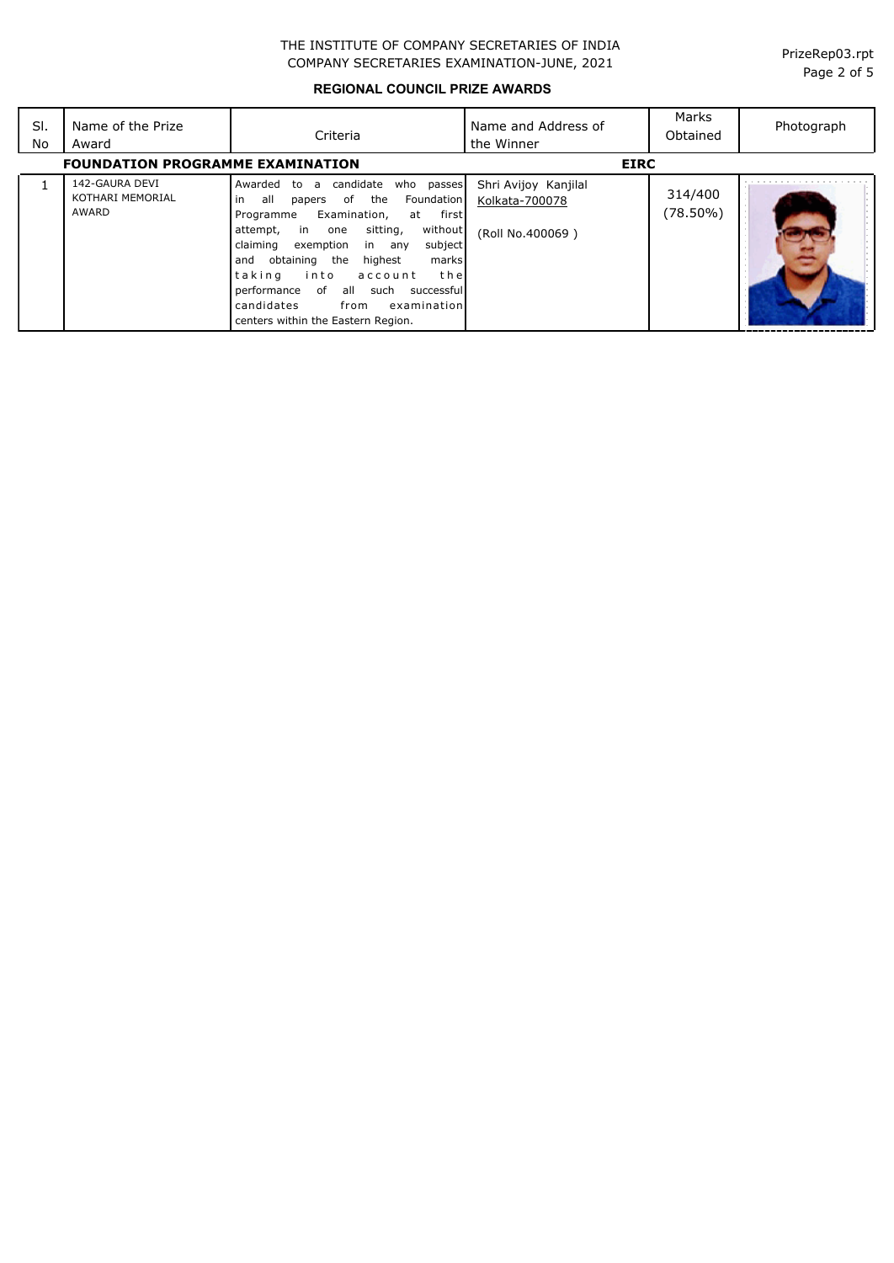**REGIONAL COUNCIL PRIZE AWARDS**

| SI.<br>No | Name of the Prize<br>Award                  | Criteria                                                                                                                                                                                                                                                                                                                                                                                                                                           | Name and Address of<br>the Winner                          | Marks<br>Obtained   | Photograph |
|-----------|---------------------------------------------|----------------------------------------------------------------------------------------------------------------------------------------------------------------------------------------------------------------------------------------------------------------------------------------------------------------------------------------------------------------------------------------------------------------------------------------------------|------------------------------------------------------------|---------------------|------------|
|           | <b>FOUNDATION PROGRAMME EXAMINATION</b>     |                                                                                                                                                                                                                                                                                                                                                                                                                                                    | <b>EIRC</b>                                                |                     |            |
| 1         | 142-GAURA DEVI<br>KOTHARI MEMORIAL<br>AWARD | candidate<br>who passes<br>Awarded<br>to<br>a<br>of the<br><b>Foundation</b><br>in<br>all<br>papers<br>Examination,<br>first<br>Programme<br>at<br>without<br>sitting,<br>attempt,<br>in one<br>exemption<br>claiming<br>subject<br>in any<br>obtaining<br>the<br>highest<br>marks<br>and<br>taking<br>into<br>thel<br>account<br>performance of<br>all such successful<br>candidates<br>from<br>examination<br>centers within the Eastern Region. | Shri Avijoy Kanjilal<br>Kolkata-700078<br>(Roll No.400069) | 314/400<br>(78.50%) |            |

Page 2 of 5 PrizeRep03.rpt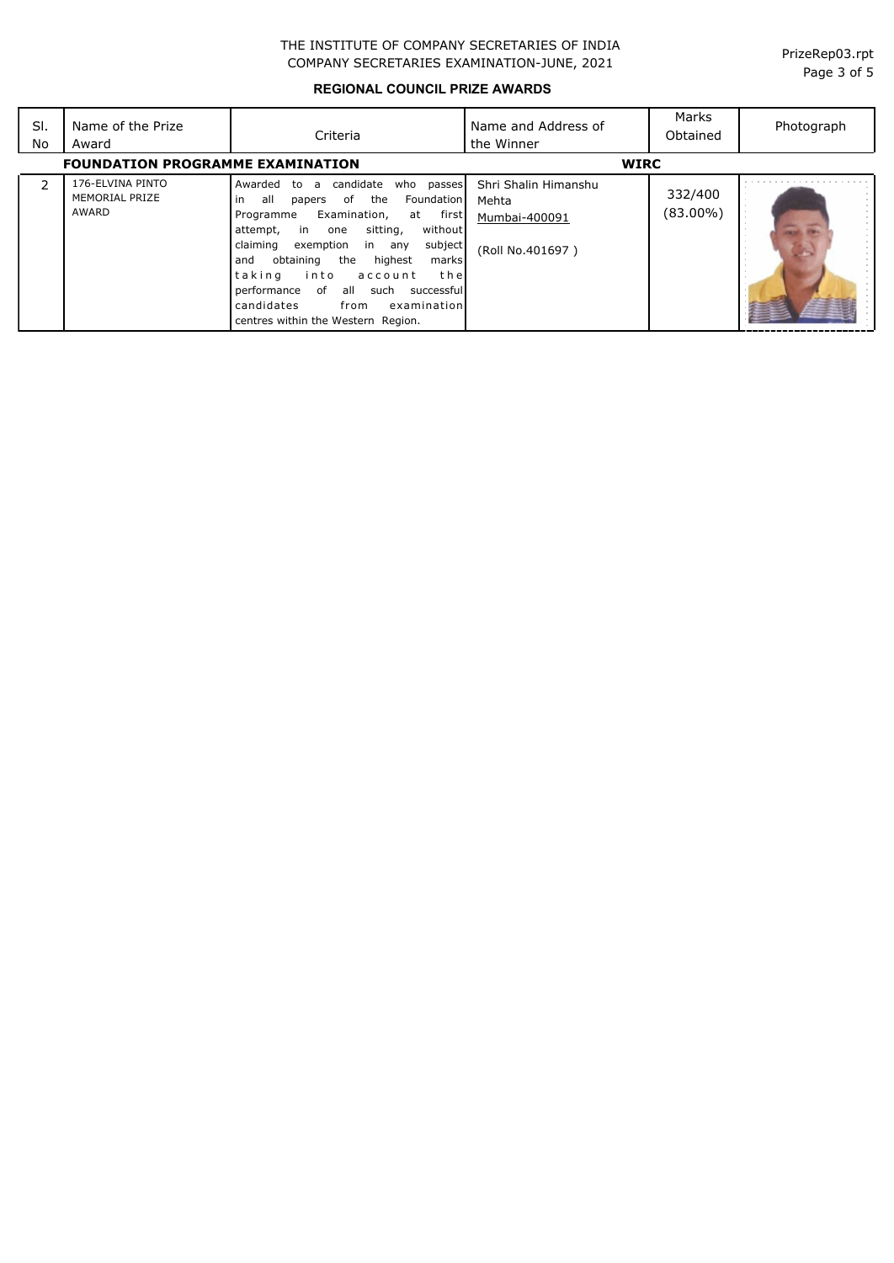**REGIONAL COUNCIL PRIZE AWARDS**

| SI.<br>No | Name of the Prize<br>Award                         | Criteria                                                                                                                                                                                                                                                                                                                                                                                                                                            | Name and Address of<br>the Winner                                  | Marks<br>Obtained      | Photograph |
|-----------|----------------------------------------------------|-----------------------------------------------------------------------------------------------------------------------------------------------------------------------------------------------------------------------------------------------------------------------------------------------------------------------------------------------------------------------------------------------------------------------------------------------------|--------------------------------------------------------------------|------------------------|------------|
|           | <b>FOUNDATION PROGRAMME EXAMINATION</b>            |                                                                                                                                                                                                                                                                                                                                                                                                                                                     | <b>WIRC</b>                                                        |                        |            |
|           | 176-ELVINA PINTO<br><b>MEMORIAL PRIZE</b><br>AWARD | candidate<br>who<br>passes<br>Awarded<br>to<br>a<br>the<br>all<br>of<br>Foundation<br>in<br>papers<br>Examination,<br>first<br>Programme<br>at<br>without<br>sitting,<br>in one<br>attempt,<br>subject<br>claiming<br>exemption<br>in any<br>highest<br>obtaining<br>the<br>and<br>marks<br>taking<br>the<br>into<br>account<br>performance of<br>all such<br>successful<br>candidates<br>examination<br>from<br>centres within the Western Region. | Shri Shalin Himanshu<br>Mehta<br>Mumbai-400091<br>(Roll No.401697) | 332/400<br>$(83.00\%)$ |            |

Page 3 of 5 PrizeRep03.rpt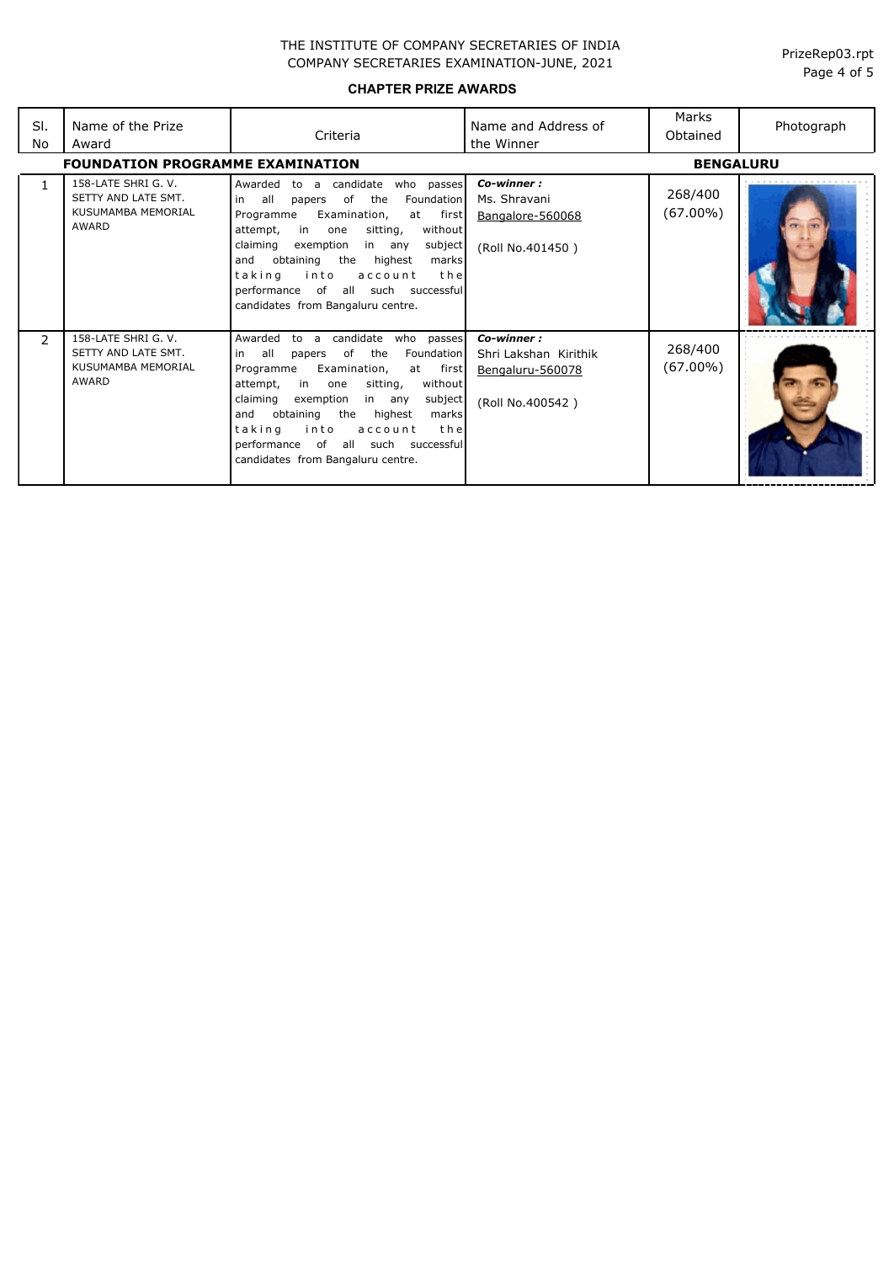**CHAPTER PRIZE AWARDS**

| SI.<br>No     | Name of the Prize<br>Award<br><b>FOUNDATION PROGRAMME EXAMINATION</b>     | Criteria                                                                                                                                                                                                                                                                                                                                                                                           | Name and Address of<br>the Winner                                           | Marks<br>Obtained<br><b>BENGALURU</b> | Photograph |
|---------------|---------------------------------------------------------------------------|----------------------------------------------------------------------------------------------------------------------------------------------------------------------------------------------------------------------------------------------------------------------------------------------------------------------------------------------------------------------------------------------------|-----------------------------------------------------------------------------|---------------------------------------|------------|
|               | 158-LATE SHRI G. V.<br>SETTY AND LATE SMT.<br>KUSUMAMBA MEMORIAL<br>AWARD | Awarded<br>candidate<br>who passes<br>to a<br>all<br>of<br>the<br>Foundation<br>in<br>papers<br>at first<br>Examination,<br>Programme<br>in<br>sitting,<br>without<br>attempt,<br>one<br>claiming<br>exemption<br>subject<br>in any<br>obtaining<br>the<br>highest<br>and<br>marksl<br>taking<br>into<br>account<br>the<br>performance of all such successful<br>candidates from Bangaluru centre. | Co-winner:<br>Ms. Shravani<br>Bangalore-560068<br>(Roll No.401450)          | 268/400<br>(67.00%)                   |            |
| $\mathcal{P}$ | 158-LATE SHRI G. V.<br>SETTY AND LATE SMT.<br>KUSUMAMBA MEMORIAL<br>AWARD | Awarded<br>candidate<br>who<br>passes<br>to a<br>of<br>the<br>Foundation<br>all<br>papers<br>in<br>Examination,<br>at first<br>Programme<br>without<br>attempt,<br>in one<br>sitting,<br>claiming<br>exemption<br>subject<br>in any<br>obtaining<br>and<br>the highest<br>marks<br>taking<br>into<br>account<br>the<br>performance of all such successful<br>candidates from Bangaluru centre.     | Co-winner:<br>Shri Lakshan Kirithik<br>Bengaluru-560078<br>(Roll No.400542) | 268/400<br>(67.00%)                   |            |

Page 4 of 5 PrizeRep03.rpt